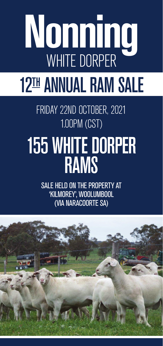# **Nonning** WHITE DORPER **Nonning** WHITE DORPER 12TH ANNUAL RAM SALE FRIDAY 22ND OCTOBER, 2021 1.00PM (CST) 1.00PM (CST) 155 WHITE DORPER RAMS RAMS

SALE HELD ON THE PROPERTY AT SALE HELD ON THE PROPERTY AT 'KILMOREY', WOOLUMBOOL (VIA NARACOORTE SA) (VIA NARACOORTE SA)

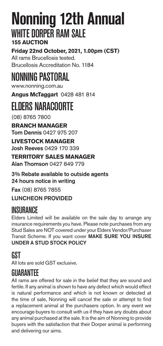#### **Nonning 12th Annual** WHITE DORPER RAM SAI F **155 AUCTION**

**Friday 22nd October, 2021, 1.00pm (CST)** All rams Brucellosis tested. Brucellosis Accreditation No. 1184

## NONNING PASTORAL

www.nonning.com.au

**Angus McTaggart** 0428 481 814

## **FI DERS NARACOORTE**

(08) 8765 7800

**BRANCH MANAGER** Tom Dennis 0427 975 207

**LIVESTOCK MANAGER** Josh Reeves 0429 170 339

**TERRITORY SALES MANAGER** Alan Thomson 0427 849 779

3% Rebate available to outside agents 24 hours notice in writing

Fax (08) 8765 7855

LUNCHEON PROVIDED

#### **INSURANCE**

Elders Limited will be available on the sale day to arrange any insurance requirements you have. Please note purchases from any Stud Sales are NOT covered under your Elders Vendor/Purchaser Transit Scheme. If you want cover MAKE SURE YOU INSURE UNDER A STUD STOCK POLICY

#### **GST**

All lots are sold GST exclusive.

#### GUARANTEE

All rams are offered for sale in the belief that they are sound and fertile. If any animal is shown to have any defect which would effect is natural performance and which is not known or detected at the time of sale, Nonning will cancel the sale or attempt to find a replacement animal at the purchasers option. In any event we encourage buyers to consult with us if they have any doubts about any animal purchased at the sale. It is the aim of Nonning to provide buyers with the satisfaction that their Dorper animal is performing and delivering our aims.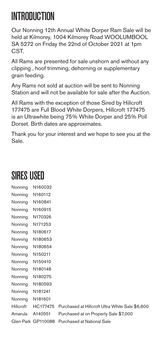## **INTRODUCTION**

Our Nonning 12th Annual White Dorper Ram Sale will be held at Kilmorey, 1004 Kilmorey Road WOOLUMBOOL SA 5272 on Friday the 22nd of October 2021 at 1pm **CST.** 

All Rams are presented for sale unshorn and without any clipping , hoof trimming, dehorning or supplementary grain feeding.

Any Rams not sold at auction will be sent to Nonning Station and will not be available for sale after the Auction.

All Rams with the exception of those Sired by Hillcroft 177475 are Full Blood White Dorpers, Hillcroft 177475 is an Ultrawhite being 75% White Dorper and 25% Poll Dorset. Birth dates are approximates.

Thank you for your interest and we hope to see you at the Sale.

#### SIRES USED

| Nonning   | N160032            |    |
|-----------|--------------------|----|
| Nonning   | N160112            |    |
| Nonning   | N160841            |    |
| Nonning   | N160915            |    |
| Nonning   | N170326            |    |
| Nonning   | N171253            |    |
| Nonning   | N180617            |    |
| Nonning   | N180653            |    |
| Nonning   | N180654            |    |
| Nonning   | N150211            |    |
| Nonning   | N150410            |    |
| Nonning   | N180148            |    |
| Nonning   | N180275            |    |
| Nonning   | N180593            |    |
| Nonning   | N181241            |    |
| Nonning   | N181601            |    |
| Hillcroft | HC177475           | Pu |
| Amarula   | A140551            | Pu |
|           | Glen Park GP110088 | Pu |

rchased at Hillcroft Ultra White Sale \$6,600 rchased at on Property Sale \$7,000 rchased at National Sale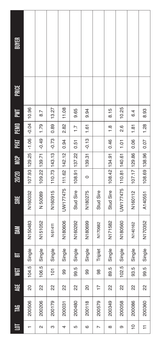| <b>BUYER</b><br><b>PRICE</b> |                         |
|------------------------------|-------------------------|
|                              |                         |
|                              |                         |
|                              |                         |
| 10.96                        |                         |
| $-0.04$                      | 8.7                     |
|                              | 1.79                    |
|                              | $-1.06$<br>$-0.49$      |
|                              | 107.93 129.25           |
|                              | 109.22 139.71           |
|                              | N160032<br>N 50089      |
|                              | N150483<br>N151052      |
|                              | Single<br>Single        |
|                              | 5<br>rÙ.<br>106.<br>104 |
|                              | 22<br>8                 |
|                              | 200506<br>200206        |
| 巪                            | 2                       |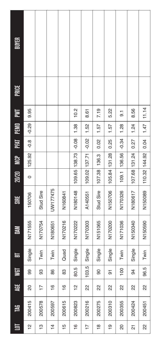| 巪              | 岂      | 岀              | <b>SI</b> | E      | 昌       | <b>SIRE</b> | 20/20         | <b>SOM</b>         | <b>PFAT</b> | FEMI         | EΜ   | <b>PRICE</b> | BUYER |
|----------------|--------|----------------|-----------|--------|---------|-------------|---------------|--------------------|-------------|--------------|------|--------------|-------|
| $\frac{1}{2}$  | 200415 | 8              | 8         | Single | N171555 | 150706      | $\circ$       | 125.92             | $-0.8$      | $-0.29$      | 9.95 |              |       |
| 13             | 200578 | $\overline{1}$ | ႙         | Twin   | N170754 | Stud Sire   |               |                    |             |              |      |              |       |
| $\frac{4}{4}$  | 200597 | $\frac{6}{1}$  | 86        | Twin   | N180651 | UW177475    |               |                    |             |              |      |              |       |
| $\frac{5}{1}$  | 200615 | $\frac{6}{1}$  | 8         | Quad   | N170216 | N160841     |               |                    |             |              |      |              |       |
| $\frac{6}{5}$  | 200823 | $\frac{1}{2}$  | 5<br>80.  | Single | N170222 | N180148     | 109.65 138.73 |                    | $-0.08$     | 1.38         | 10.2 |              |       |
| $\overline{1}$ | 200216 | 2              | 5<br>103  | Single | N170303 | A140551     | 109.02 137.71 |                    | $-0.02$     | 1.52         | 8.61 |              |       |
| φ              | 200275 | 22             | ဓ         | Single | N151065 | Stud Sire   | 107.38        | 136.3              | 0.02        | 1.57         | 7.19 |              |       |
| $\frac{1}{2}$  | 200310 | 22             | 5         | Single | N170200 | N150706     | 105.84 131.28 |                    | 0.25        | 1.57         | 5.22 |              |       |
| 20             | 200355 | 22             | 100       | Twin   | N171036 | N170326     | 109.1         | 136.56             | $-0.34$     | 1.28         | 5.   |              |       |
| ត              | 200424 | 22             | 34        | Single | N150340 | N180617     | 107.68 131.24 |                    | 0.27        | 1.24         | 8.56 |              |       |
| 22             | 200451 | 22             | 5<br>96   | Twin   | N150590 | N150089     |               | 110.32 144.92 0.04 |             | $1.47$ 11.14 |      |              |       |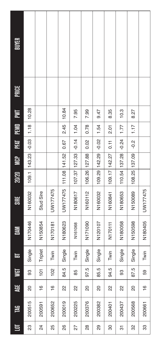| 巪  | 岂      | 븇             | <b>TEM</b>       | 눕       | ă       | <b>SIRE</b>            | 20/20 | <b>SP</b>        | <b>PFAT</b> | PEMID | Σ     | <b>PRICE</b> | <b>BUYER</b> |
|----|--------|---------------|------------------|---------|---------|------------------------|-------|------------------|-------------|-------|-------|--------------|--------------|
| 23 | 200515 | 20            | င္တ              | Single  | N170446 | N160032                |       | $109.1$   143.23 | $-0.03$     | 1.18  | 10.28 |              |              |
| 24 | 200591 | $\frac{6}{5}$ | $\overline{101}$ | Triplet | N150854 | Stud Sire              |       |                  |             |       |       |              |              |
| 25 | 200652 | $\frac{6}{1}$ | 102              | Twin    | N170181 | UW177475               |       |                  |             |       |       |              |              |
| 26 | 200019 | 22            | ŗ.<br>84.        | Single  | N180623 | UW177475 111.08 141.52 |       |                  | 0.67        | 2.45  | 10.84 |              |              |
| 27 | 200225 | $\approx$     | အ                | Twin    | N161068 | N180617                |       | 107.37 127.33    | $-0.14$     | 1.04  | 7.95  |              |              |
| 28 | 200376 | 20            | rù.<br>56.       | Single  | N171090 | N160112                |       | 106.26 127.88    | 0.02        | 0.78  | 7.99  |              |              |
| 29 | 200382 | 8             | ŗ.<br>85.        | Single  | N120107 | N160032                |       | 109.29 142.29    | $-0.02$     | 1.54  | 9.47  |              |              |
| 80 | 200401 | 22            | 5<br>94.         | Twin    | N170111 | N160841                |       | 109.17 142.27    | 0.11        | 2.01  | 8.35  |              |              |
| 57 | 200437 | 22            | င္တ              | Single  | N180058 | N180653                |       | 110.54   137.28  | $-0.24$     | 1.77  | 10.3  |              |              |
| 32 | 200568 | 8             | ŗ.<br>87.        | Single  | N150598 | N150089                |       | 108.25 137.09    | $-0.2$      | 1.17  | 8.27  |              |              |
| 33 | 200661 | $\frac{6}{1}$ | အ                | Twin    | N180405 | UW177475               |       |                  |             |       |       |              |              |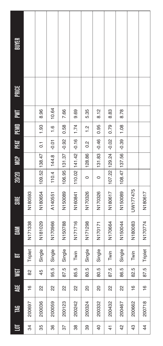| 亘              | <b>TAG</b> | 暟             |                        | $\blacksquare$ | M       | <b>SIRE</b> | 20/20         | <b>MCP</b>                | PRT            | PEMO          | ŽΕ    | <b>PRICE</b> | <b>BUYER</b> |
|----------------|------------|---------------|------------------------|----------------|---------|-------------|---------------|---------------------------|----------------|---------------|-------|--------------|--------------|
| 34             | 200697     | $\frac{6}{1}$ | 8                      | Triplet        | N171338 | N180593     |               |                           |                |               |       |              |              |
| 35             | 200036     | 22            | 45                     | Single         | N181029 | N180654     | 109.52 138.47 |                           | $\overline{0}$ | 1.93          | 8.96  |              |              |
| 36             | 200059     | 22            | ŗ.<br>95.              | Single         | N170966 | A140551     | 110.4         | 144.8                     | $-0.01$        | 1.6           | 10.64 |              |              |
| 57             | 200123     | 2             | io.<br>50              | Single         | N150788 | N150089     |               | 106.95   131.37           | $-0.92$        | 0.58          | 7.66  |              |              |
| 38             | 200242     | 2             | ŗÖ.<br>85.             | Twin           | N171716 | N160841     |               | $110.02$ $ 141.42 $ -0.16 |                | 1.74          | 9.69  |              |              |
| 39             | 200324     | S             | rö.<br>$\overline{80}$ | Single         | N171298 | N170326     | 0             | 128.86                    | $\frac{2}{3}$  | $\frac{2}{1}$ | 5.35  |              |              |
| $\overline{6}$ | 200332     | 8             | 80.5                   | Single         | N170171 | N170326     | $\circ$       | 131.83                    | $-0.46$        | 0.95          | 8.12  |              |              |
| 4              | 200432     | 22            | iù.<br>87.             | Twin           | N170664 | N180617     |               | 107.22   129.24           | $-0.02$        | 0.79          | 8.83  |              |              |
| 42             | 200467     | 2             | 86.5                   | Single         | N150044 | N150089     |               | 108.47 137.56             | $-0.39$        | 1.08          | 8.78  |              |              |
| 43             | 200662     | $\frac{6}{1}$ | ŗ.<br><u>ಜ</u>         | Twin           | N180083 | UW177475    |               |                           |                |               |       |              |              |
| $\frac{4}{4}$  | 200718     | $\frac{6}{5}$ | rù.<br>87              | Triplet        | N170774 | N180617     |               |                           |                |               |       |              |              |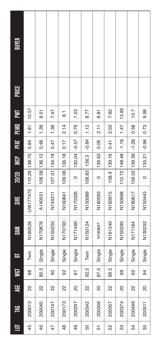| BUYER       |                            |               |        |               |                |               |                |                     |          |                     |                 |
|-------------|----------------------------|---------------|--------|---------------|----------------|---------------|----------------|---------------------|----------|---------------------|-----------------|
|             |                            |               |        |               |                |               |                |                     |          |                     |                 |
|             | 10.57                      | 8.51          |        | 7.47          | $\overline{8}$ | 7.53          | 8.77           | 8.81                | 7.92     | 13.85               | 10.7            |
|             | 1.81                       | 1.39          |        | 1.38          | 2.14           | 0.79          | 1.12           | 2.11                | 2.03     | 1.47                | 0.58            |
|             | 0.84                       | 0.48          |        | 0.47          | 0.17           | $-0.57$       | $-0.84$        | 0.06                | 0.41     | $-1.18$             | $-1.28$         |
| <b>SP</b>   |                            |               |        |               |                | 130.04        | 136.3          | 139.63              | 139.16   |                     |                 |
| 20/20       |                            | 108.58 136.12 |        | 107.01 134.18 | 109.06 136.18  | $\circ$       | 108.83         | 0                   | 108.9    | 112.72   148.48     | 109.02   139.39 |
| <b>SIRE</b> | UW177475   110.29   138.75 | A140551       |        | N150211       | N160841        | N170326       | N150089        | N180593             | N160915  | N150698             | N180617         |
| Š           | N180526                    | N170876       |        | N150250       | N170790        | N171490       | N150124        | N <sub>180697</sub> | N161340  | N <sub>150290</sub> | N171184         |
| E           | Twin                       | Single        |        | Single        | Single         | Single        | Twin           | Single              | Single   | Single              | Single          |
| ≌           | 88                         | 5<br>85.      | ခ      |               | လ္တ            | 62            | 5<br><u>ର୍</u> | 87.5                | 5<br>89. | 86                  | ္တ              |
| 豈           | 22                         | 22            | 22     |               | 22             | 8             | 2              | S                   | 22       | 80                  | 2               |
| 岂           | 200013                     | 200045        | 200147 |               | 200173         | 200297        | 200342         | 200356              | 200357   | 200374              | 200499          |
| 巪           | 45                         | 46            | 47     |               | $\frac{8}{4}$  | $\frac{1}{6}$ | 50             | 5                   | 52       | 53                  | 54              |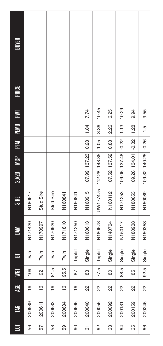| 巪  | 岂      | 븇             | <b>TEM</b> | ᇰ       | 줄                   | <b>SIRE</b> | 20/20         | <b>NGP</b>          | <b>PFAT</b> | PEMD          | Σ     | <b>PRICE</b> | <b>BUYER</b> |
|----|--------|---------------|------------|---------|---------------------|-------------|---------------|---------------------|-------------|---------------|-------|--------------|--------------|
| 56 | 200589 | $\frac{6}{1}$ | 109        | Twin    | N171420             | N180617     |               |                     |             |               |       |              |              |
| 57 | 200611 | $\frac{6}{1}$ | ္တ         | Twin    | N170997             | Stud Sire   |               |                     |             |               |       |              |              |
| 58 | 200633 | $\frac{6}{1}$ | Ю<br>ᇮ     | Twin    | N170920             | Stud Sire   |               |                     |             |               |       |              |              |
| 59 | 200634 | $\frac{6}{1}$ | Ю<br>95.   | Twin    | N171810             | N160841     |               |                     |             |               |       |              |              |
| 80 | 200696 | $\frac{6}{1}$ | ౚ          | Triplet | N171250             | N160841     |               |                     |             |               |       |              |              |
| 67 | 200040 | 22            | ಙ          | Single  | N160613             | N160915     |               | 107.99 137.23       | 0.28        | 1.84          | 7.74  |              |              |
| 62 | 200056 | 22            | Ю<br>77.   | Triplet | N180678             | UW177475    |               | 112.28   148.35     | 1.05        | 3.36          | 10.45 |              |              |
| 63 | 200092 | 22            | 8          | Single  | N140704             | N160112     |               | 107.52 137.52       | 0.88        | 2.26          | 6.25  |              |              |
| 64 | 200131 | 22            | Ю<br>88    | Single  | N <sub>150117</sub> | N171253     |               | 109.06 137.48       | $-0.22$     | 1.13          | 10.29 |              |              |
| 65 | 200159 | 22            | 59         | Single  | N180938             | N180653     | 109.26 134.01 |                     | $-0.32$     | 1.28          | 9.94  |              |              |
| 66 | 200246 | 22            | ŗ.<br>92   | Single  | N150353             | N150089     |               | 109.32 140.25 -0.26 |             | $\frac{1}{2}$ | 9.55  |              |              |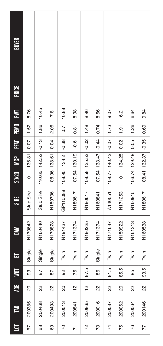| BUYER        |           |                 |               |                   |                |          |               |                |               |               |                 |
|--------------|-----------|-----------------|---------------|-------------------|----------------|----------|---------------|----------------|---------------|---------------|-----------------|
| <b>PRICE</b> |           |                 |               |                   |                |          |               |                |               |               |                 |
| EΜ           | 8.76      | 10.45           | 7.8           | 10.88             | 8.98           | 8.96     | 8.56          | 9.07           | $\frac{2}{3}$ | 6.64          | 9.84            |
| PEMID        | 1.52      | 1.86            | 2.05          | $\overline{0}$ .7 | 0.81           | 1.48     | 0.74          | 1.73           | 1.91          | 1.26          | 0.69            |
| <b>INL</b>   | 0.07      | $-0.13$         | 0.04          | $-0.38$           | $-0.6$         | $-0.02$  | $-0.44$       | $-0.07$        | 0.02          | 0.05          | $-0.35$         |
| <b>MCP</b>   | 136.81    |                 |               | 134.2             |                | 135.53   |               |                | 134.25        |               |                 |
| 20/20        | $\circ$   | 110.65   142.52 | 108.96 138.61 | 108.95            | 107.64 130.19  | 108.58   | 107.54 133.47 | 109.77 140.43  | 0             | 106.74 129.48 | 108.41   132.37 |
| <b>SIRE</b>  | Stud Sire | Stud Sire       | N150706       | GP110088          | N180617        | N180617  | N160841       | A140551        | N171253       | N160915       | N180617         |
| 冨            | N170642   | N160440         | N170828       | N191437           | N171374        | N180225  | N171374       | N171647        | N150922       | N161313       | N160538         |
| 声            | Single    | Single          | Single        | Twin              | Twin           | Twin     | Single        | Twin           | Twin          | Twin          | Twin            |
|              | အ         | 56              | 67            | ္တ                | 75             | rö<br>87 | 8             | 5<br>5         | rö.<br>85.    | 85            | io.<br>တ္တိ     |
| 豈            | 8         | 22              | 22            | යි                | $\frac{1}{2}$  | 으        | R             | 22             | 8             | 2             | 2               |
| <b>TAG</b>   | 200385    | 200468          | 200493        | 200513            | 200841         | 200865   | 200016        | 200037         | 200062        | 200064        | 200146          |
| 巨            | 67        | 68              | 69            | 20                | $\overline{5}$ | 72       | 73            | $\overline{7}$ | 75            | 76            | 77              |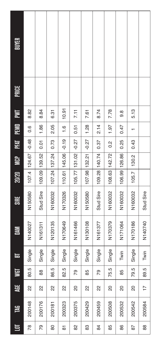| 与  | 岂      | 岀               | <b>TEM</b>      | ᇰ      | ă       | <b>SIRE</b> | 20/20  | <b>SP</b>         | <b>FRT</b>    | FEMO          | ŽΕ    | PRICE | <b>BUYER</b> |
|----|--------|-----------------|-----------------|--------|---------|-------------|--------|-------------------|---------------|---------------|-------|-------|--------------|
| 78 | 200148 | 22              | rù<br>80.       | Single | N140027 | N150580     |        | 107.4 124.67      | $-0.48$       | 0.6           | 8.82  |       |              |
| 79 | 200176 | 22              | 88              | Single | N161311 | Stud Sire   |        | 109.09 139.52     | 0.01          | 1.86          | 8.84  |       |              |
| 80 | 200181 | 22              | 5<br>86.        | Single | N120135 | N160032     |        | 107.24 137.24     | 0.73          | 2.05          | 6.31  |       |              |
| 5  | 200323 | 2               | 5<br><u>ର୍ଥ</u> | Single | N170649 | N170326     |        | 110.61 145.06     | $-0.19$       | $\frac{6}{1}$ | 10.91 |       |              |
| 82 | 200375 | 8               | ೭               | Single | N161466 | N160032     |        | $105.77$   131.02 | $-0.27$       | 0.51          | 7.11  |       |              |
| 83 | 200429 | 2               | 85              | Single | N130108 | N150580     |        | 107.98 132.21     | $-0.27$       | 1.28          | 7.61  |       |              |
| 84 | 200459 | 22              | ೭               | Single | N161377 | Stud Sire   |        | 109.28 140.74     | 0.37          | 2.14          | 8.74  |       |              |
| 85 | 200508 | S               | 5<br>75.        | Single | N170379 | N160032     |        | 108.63 142.72     | $\frac{2}{3}$ | 1.97          | 7.78  |       |              |
| 86 | 200532 | 8               | 85              | Twin   | N171064 | N160032     | 106.99 | 126.86            | 0.25          | 0.47          | 9.8   |       |              |
| 87 | 200542 | 8               | 5<br>79.        | Single | N170186 | N160032     | 105.7  | 130.2             | 0.43          |               | 5.13  |       |              |
| 88 | 200584 | $\overline{17}$ | 5<br>89.        | Twin   | N140740 | Stud Sire   |        |                   |               |               |       |       |              |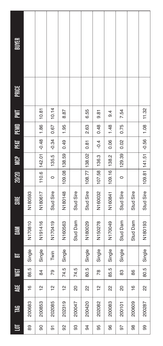| <b>BUYER</b><br><b>PRICE</b> |               |               |               |                 |            |                 |         |               |           |               |                     |
|------------------------------|---------------|---------------|---------------|-----------------|------------|-----------------|---------|---------------|-----------|---------------|---------------------|
| ŽΕ                           |               | 10.81         | 10.14         | 8.87            |            | 6.55            | 9.81    | $\frac{4}{9}$ | 7.54      |               | 11.32               |
| PEMO                         |               | 1.86          | 0.67          | 1.95            |            | 2.63            | 0.48    | 1.48          | 0.75      |               | 1.08                |
| PRT                          |               | $-0.48$       | $-0.34$       | 0.49            |            | 0.81            | $-0.4$  | 0.06          | 0.02      |               |                     |
| <b>PO</b>                    |               | 110.6 142.01  | 135.5         |                 |            |                 | 136.3   | 138.2         | 129.39    |               |                     |
| 20/20                        |               |               | 0             | 109.08 138.59   |            | 108.77   138.02 | 107.58  | 109.16        | $\circ$   |               | 109.81 141.51 -0.56 |
| <b>SIRE</b>                  | N180593       | N180617       | Stud Sire     | N180148         | Stud Sire  | Stud Sire       | N160032 | N160841       | Stud Sire | Stud Sire     | Stud Sire           |
| M                            | N170810       | N191416       | N170419       | N160563         | Stud Dam   | N180029         | N150278 | N170049       | Stud Dam  | Stud Dam      | N180193             |
| ᇰ                            | Single        | Single        | Twin          | Single          |            | Single          | Single  | Single        | Single    |               | Single              |
|                              | ŗ.<br>86.     | 84            | లై            | <u>ي</u><br>74. | rö.<br>74. | 80.5            | జ       | ŗ.<br>85.     | အ         | 8             | ŗ.<br>80.           |
| 罩                            | $\frac{6}{5}$ | $\frac{2}{1}$ | $\frac{1}{2}$ | $\frac{1}{2}$   | 20         | 22              | 얻       | 22            | 8         | $\frac{6}{5}$ | 2                   |
| <b>TAG</b>                   | 200683        | 200853        | 202085        | 202319          | 200047     | 200420          | 202082  | 200083        | 200101    | 200609        | 200287              |
| 巪                            | 89            | 90            | 5             | 92              | 8          | 94              | 95      | 96            | 97        | 88            | 99                  |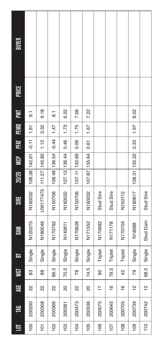| 岂      | 岜             | S         | 눕       | M                   | <b>SIRE</b> | 20/20           | <b>SP</b> |         | PFAT PEMD | <b>NE</b>      | <b>PRICE</b> | BUYER |
|--------|---------------|-----------|---------|---------------------|-------------|-----------------|-----------|---------|-----------|----------------|--------------|-------|
| 200290 | 22            | జ         | Single  | N120375             | N160032     | 108.38 142.61   |           | $-0.11$ | 1.81      | $\overline{8}$ |              |       |
| 200358 | 22            | 88        | Single  | N180046             | UW177475    | 111.27   145.82 |           | 1.12    | 3.32      | 9.18           |              |       |
| 200366 | 22            | ŗ.<br>86. | Single  | N170792             | N150706     | 108.48 136.54   |           | $-0.44$ | 1.47      | 5<br>8         |              |       |
| 200381 | S             | ŗ.<br>20. | Single  | N140611             | N160032     | 107.13 136.44   |           | 0.46    | 1.73      | 6.22           |              |       |
| 200473 | 22            | జ         | Single  | N170628             | N150706     | 107.11 132.69   |           | 0.06    | 1.75      | 7.06           |              |       |
| 200536 | 8             | rö<br>74. | Single  | N171352             | N160032     | 107.87 135.64   |           | 0.61    | 1.67      | 7.22           |              |       |
| 200575 | 17            | ခ         | Triplet | N170682             | Stud Sire   |                 |           |         |           |                |              |       |
| 200645 | $\frac{6}{1}$ | ŗ.<br>79. | Triplet | N <sub>171178</sub> | Stud Sire   |                 |           |         |           |                |              |       |
| 200705 | $\frac{6}{1}$ | ں<br>4    | Triplet | N170704             | N150112     |                 |           |         |           |                |              |       |
| 200739 | $\frac{1}{2}$ | లై        | Single  | N18088              | N180617     | 108.31          | 135.22    | 0.33    | 1.97      | 8.02           |              |       |
| 200742 | $\frac{1}{2}$ | io.<br>89 | Single  | Stud Dam            | Stud Sire   |                 |           |         |           |                |              |       |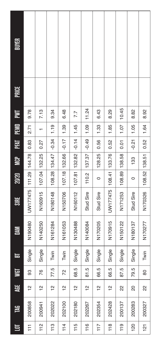| ē   | 岂      | 罩             |          | 눕      | 줄                   | <b>SIRE</b>                | 20/20         | <b>SOM</b>    | FFAT    | PEMID | $\Xi$ | <b>PRICE</b> | BUYER |
|-----|--------|---------------|----------|--------|---------------------|----------------------------|---------------|---------------|---------|-------|-------|--------------|-------|
| F   | 200858 | $\frac{1}{2}$ | င္တ      | Single | N190480             | UW177475   111.29   144.78 |               |               | 0.83    | 2.71  | 9.78  |              |       |
| 112 | 200941 | $\frac{2}{1}$ | 76       | Single | N140250             | N160915                    | 107.04 132.25 |               | 0.27    |       | 7.13  |              |       |
| 113 | 202022 | $\frac{1}{2}$ | 77.5     | Twin   | N161284             | N180148                    |               | 108.28 134.47 | $-0.34$ | 1.19  | 9.34  |              |       |
| 114 | 202100 | $\frac{1}{2}$ | 25       | Twin   | N161053             | N150706                    | 107.18 132.66 |               | $-0.17$ | 1.39  | 6.48  |              |       |
| 115 | 202180 | $\frac{1}{2}$ | 5<br>68. | Single | N130488             | N160112                    | 107.81        | 132.82        | $-0.14$ | 1.45  | 7.7   |              |       |
| 116 | 202267 | $\frac{1}{2}$ | 81.5     | Single | N140084             | Stud Sire                  | 110.2         | 137.37        | $-0.49$ | 1.09  | 11.24 |              |       |
| 117 | 202354 | $\frac{1}{2}$ | 66.5     | Single | N170205             | Stud Sire                  | 0             | 128.25        | 0.56    | 1.33  | 6.43  |              |       |
| 118 | 202428 | $\frac{2}{3}$ | 66.5     | Single | N170915             | UW177475                   | 108.41        | 133.76        | 0.52    | 1.85  | 8.29  |              |       |
| 119 | 200137 | 22            | 87.5     | Single | N150122             | N171253                    | 108.89        | 138.58        | 0.01    | 1.07  | 10.45 |              |       |
| 120 | 200283 | 8             | 5<br>٦9. | Single | N <sub>180137</sub> | Stud Sire                  | 0             | 133           | $-0.21$ | 1.05  | 8.82  |              |       |
| 121 | 200327 | 2             | 8        | Twin   | N170277             | N170326                    | 108.52        | 138.51        | 0.52    | 1.64  | 8.92  |              |       |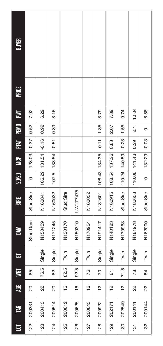| 与   | <b>TAG</b> | 崑             |                 | 声      | M                   | <b>SIRE</b> | 20/20   | <b>SP</b>     | 뎚<br>또  | <b>PEMO</b>         | Σ     | <b>PRICE</b> | <b>BUYER</b> |
|-----|------------|---------------|-----------------|--------|---------------------|-------------|---------|---------------|---------|---------------------|-------|--------------|--------------|
| 122 | 200331     | 80            | 85              |        | Stud Dam            | Stud Sire   | $\circ$ | 123.03        | $-0.37$ | 0.52                | 7.92  |              |              |
| 123 | 200413     | 22            | ŗ.<br>76.       | Single | N150459             | N160841     |         | 106.29 131.54 | $-0.16$ | 0.92                | 6.29  |              |              |
| 124 | 200514     | 20            | <u>သ</u>        | Single | N171245             | N160032     | 107.5   | 133.54        | $-0.51$ | 0.39                | 8.16  |              |              |
| 125 | 200612     | $\frac{6}{5}$ | ŗ.<br><u>ର୍</u> | Twin   | N130170             | Stud Sire   |         |               |         |                     |       |              |              |
| 126 | 200625     | $\frac{6}{5}$ | ŗ.<br><u>ର୍</u> | Single | N150310             | UW177475    |         |               |         |                     |       |              |              |
| 127 | 200643     | $\frac{6}{1}$ | ۴               | Twin   | N170954             | N160032     |         |               |         |                     |       |              |              |
| 128 | 200922     | $\frac{1}{2}$ | 5               | Single | N191417             | N181601     |         | 108.43 134.35 | $-0.11$ | 1.35                | 8.79  |              |              |
| 129 | 202171     | $\frac{1}{2}$ | 5               | Single | N140183             | N160915     | 108.54  | 137.26        | 0.83    | 2.07                | 7.89  |              |              |
| 130 | 202549     | $\frac{1}{2}$ | 71.5            | Twin   | N170963             | Stud Sire   |         | 110.24 140.59 | $-0.28$ | 1.55                | 9.74  |              |              |
| 131 | 200141     | 22            | జ               | Single | N <sub>181978</sub> | N180653     |         | 110.06 141.43 | 0.29    | $\overline{\Omega}$ | 10.04 |              |              |
| 132 | 200144     | 22            | 84              | Twin   | N162000             | Stud Sire   | 0       | 132.29        | $-0.03$ | $\circ$             | 6.58  |              |              |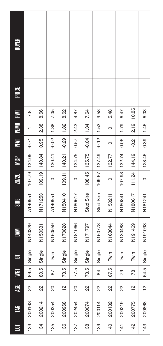| ē   | 岂      | 岀             | <b>TEM</b>          | E      | Š       | SIRE      | 20/20   | <b>SP</b> | EKI     | <b>PEMO</b> | ŽΕ    | PRICE | BUYER |
|-----|--------|---------------|---------------------|--------|---------|-----------|---------|-----------|---------|-------------|-------|-------|-------|
| 133 | 200163 | 22            | LO<br>89.           | Single | N140329 | A140551   | 107.79  | 134.05    | $-0.71$ |             | 7.8   |       |       |
| 134 | 200214 | 22            | 5<br>$\overline{8}$ | Single | N150331 | N171253   | 109.19  | 140.84    | 0.95    | 2.38        | 8.66  |       |       |
| 135 | 200354 | 8             | 56                  | Twin   | N160559 | A140551   | 0       | 130.41    | $-0.02$ | 1.38        | 7.05  |       |       |
| 136 | 200968 | $\frac{1}{2}$ | 5<br>73.            | Single | N170828 | N150410   | 109.11  | 140.21    | $-0.29$ | 1.82        | 8.62  |       |       |
| 137 | 202454 | 8             | 77.5                | Single | N181066 | N180617   | 0       | 134.75    | 0.57    | 2.43        | 4.87  |       |       |
| 138 | 200074 | 22            | 5<br>73.            | Single | N171797 | Stud Sire | 108.45  | 135.75    | $-0.04$ | 1.34        | 7.64  |       |       |
| 139 | 200114 | 22            | 84                  | Single | N160778 | Stud Sire | 109.67  | 137.49    | $-0.12$ | 1.53        | 9.58  |       |       |
| 140 | 200132 | 22            | 67.5                | Twin   | N163044 | N150211   | 0       | 132.77    | $\circ$ | $\circ$     | 5.48  |       |       |
| 141 | 200219 | 22            | ర్                  | Twin   | N130488 | N160841   | 107.93  | 132.74    | 0.06    | 1.79        | 6.47  |       |       |
| 142 | 200775 | $\frac{1}{2}$ | 78                  | Twin   | N191469 | N180617   | 11.24   | 144.19    | $-0.2$  | 2.19        | 10.86 |       |       |
| 143 | 200868 | $\frac{1}{2}$ | 5<br>64.            | Single | N191093 | N181241   | $\circ$ | 128.46    | 0.39    | 1.46        | 6.03  |       |       |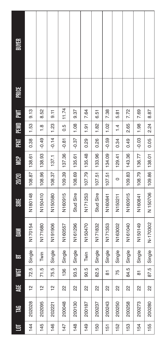| 巪   | 旨      | AGE           | <b>TEM</b>      | $\blacksquare$ | 줄        | <b>SIRE</b> | 20/20         | <b>SP</b>     | PFAT    | PEMO          | N<br>E | PRICE | <b>BUYER</b> |
|-----|--------|---------------|-----------------|----------------|----------|-------------|---------------|---------------|---------|---------------|--------|-------|--------------|
| 144 | 202028 | $\frac{1}{2}$ | 72.5            | Single         | N170154  | N180148     | 108.87        | 138.61        | 0.38    | 1.53          | 9.13   |       |              |
| 145 | 202095 | $\frac{1}{2}$ | 71.5            | Twin           | N171680  | N150410     | 108.96        | 138.93        | $-0.49$ | $\frac{8}{1}$ | 8.52   |       |              |
| 146 | 202221 | $\frac{1}{2}$ | 75.5            | Single         | N191906  | N150580     | 108.37        | 137.1         | $-0.14$ | 1.23          | 9.11   |       |              |
| 147 | 200048 | 22            | 136             | Single         | N160557  | N160915     | 109.39        | 137.36        | $-0.81$ | 0.5           | 11.74  |       |              |
| 148 | 200130 | 22            | rù<br>93.       | Single         | N161296  | Stud Sire   | 108.69        | 135.61        | $-0.37$ | 1.08          | 9.37   |       |              |
| 149 | 200187 | 22            | ŗ.<br>90.       | Twin           | N150470  | N171253     | 107.79        | 135.48        | 0.29    | 1.91          | 7.64   |       |              |
| 150 | 200237 | 22            | īΟ.<br><u>ର</u> | Single         | N171832  | Stud Sire   | 107.51        | 133.96        | 0.26    | 1.82          | 6.51   |       |              |
| 151 | 200243 | 22            | 5               | Single         | N171353  | N160841     | 107.51 134.09 |               | $-0.59$ | 1.02          | 7.38   |       |              |
| 152 | 200250 | 22            | 75              | Single         | N163002  | N150211     | $\circ$       | 129.41        | 0.34    | 1.4           | 5.81   |       |              |
| 153 | 200258 | 22            | rù<br>84.       | Single         | N161040  | N160915     | 109.83        | 143.36        | 0.49    | 2.65          | 7.72   |       |              |
| 154 | 200273 | 22            | 5               | Single         | N150149  | N160841     | 108.79        | 136.77        | $-0.03$ | 1.98          | 7.69   |       |              |
| 155 | 200280 | 2             | rus<br>87       | Single         | N-170302 | N 150706    |               | 109.86 138.01 | 0.05    | 2.24          | 8.87   |       |              |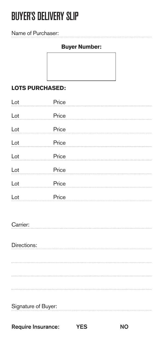# BUYER'S DELIVERY SLIP

#### Name of Purchaser:

#### **Buyer Number:**

#### **LOTS PURCHASED:**

| Price<br>Lot |       |
|--------------|-------|
| Lot          | Price |
| Lot          | Price |
| Lot          | Price |
| Lot<br>Price |       |
| Lot          | Price |
| Lot          | Price |
| Lot          | Price |

#### Carrier:

Directions: 

| Signature of Buyer: |  |
|---------------------|--|
|                     |  |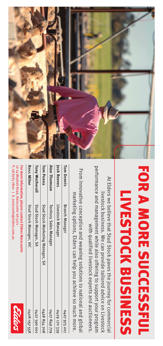

# FOR A MORE SUCCESSFUL **LIVESTOCK BUSINESS**

performance and management while also offering to support your program At Elders we believe that Stud Stock paves the journey for commercial livestock business. We can provide tailored advice on Livestock with qualified livestock experts and auctioneers.

From innovative conception and weaning solutions to national and global

|                                       | marketing options, Elders can help you achieve so much more. |              |
|---------------------------------------|--------------------------------------------------------------|--------------|
| om Dennis                             | <b>Branch Manager</b>                                        | 0427 975 207 |
| osh Reeves                            | Livestock Manager                                            | 0429 170 339 |
| lan Thomson                           | <b>Territory Sales Manager</b>                               | 0427849779   |
| om Penna                              | Stud Stock Marketing Manager, SA                             | 0428854708   |
| ony Wetherall                         | Stud Stock Manager, SA                                       | 0427 390 001 |
| oss Milne                             | Stud Stock Manager, VIC                                      | 0408 057 558 |
| 2-14 Moyhall Road, Naracoorte SA 5271 | or more information, please contact Elders Naracoorte        | Shlon        |